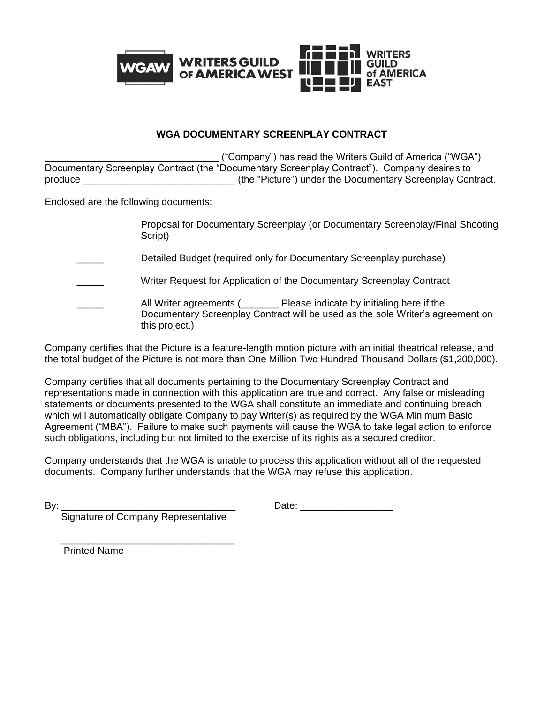

# **WGA DOCUMENTARY SCREENPLAY CONTRACT**

\_\_\_\_\_\_\_\_\_\_\_\_\_\_\_\_\_\_\_\_\_\_\_\_\_\_\_\_\_\_\_\_ ("Company") has read the Writers Guild of America ("WGA") Documentary Screenplay Contract (the "Documentary Screenplay Contract"). Company desires to produce \_\_\_\_\_\_\_\_\_\_\_\_\_\_\_\_\_\_\_\_\_\_\_\_\_\_\_\_ (the "Picture") under the Documentary Screenplay Contract.

Enclosed are the following documents:

\_\_\_\_\_ Proposal for Documentary Screenplay (or Documentary Screenplay/Final Shooting Script)

Detailed Budget (required only for Documentary Screenplay purchase)

Writer Request for Application of the Documentary Screenplay Contract

All Writer agreements (\_\_\_\_\_\_ Please indicate by initialing here if the Documentary Screenplay Contract will be used as the sole Writer's agreement on this project.)

Company certifies that the Picture is a feature-length motion picture with an initial theatrical release, and the total budget of the Picture is not more than One Million Two Hundred Thousand Dollars (\$1,200,000).

Company certifies that all documents pertaining to the Documentary Screenplay Contract and representations made in connection with this application are true and correct. Any false or misleading statements or documents presented to the WGA shall constitute an immediate and continuing breach which will automatically obligate Company to pay Writer(s) as required by the WGA Minimum Basic Agreement ("MBA"). Failure to make such payments will cause the WGA to take legal action to enforce such obligations, including but not limited to the exercise of its rights as a secured creditor.

Company understands that the WGA is unable to process this application without all of the requested documents. Company further understands that the WGA may refuse this application.

| I<br>۰, |  |
|---------|--|

Date:  $\Box$ 

Signature of Company Representative

 $\frac{1}{\sqrt{2}}$  ,  $\frac{1}{\sqrt{2}}$  ,  $\frac{1}{\sqrt{2}}$  ,  $\frac{1}{\sqrt{2}}$  ,  $\frac{1}{\sqrt{2}}$  ,  $\frac{1}{\sqrt{2}}$  ,  $\frac{1}{\sqrt{2}}$  ,  $\frac{1}{\sqrt{2}}$  ,  $\frac{1}{\sqrt{2}}$  ,  $\frac{1}{\sqrt{2}}$  ,  $\frac{1}{\sqrt{2}}$  ,  $\frac{1}{\sqrt{2}}$  ,  $\frac{1}{\sqrt{2}}$  ,  $\frac{1}{\sqrt{2}}$  ,  $\frac{1}{\sqrt{2}}$ 

Printed Name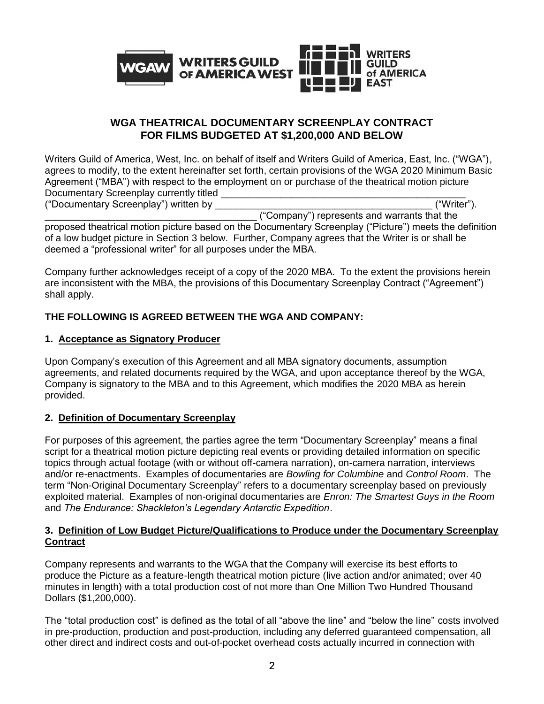

# **WGA THEATRICAL DOCUMENTARY SCREENPLAY CONTRACT FOR FILMS BUDGETED AT \$1,200,000 AND BELOW**

Writers Guild of America, West, Inc. on behalf of itself and Writers Guild of America, East, Inc. ("WGA"), agrees to modify, to the extent hereinafter set forth, certain provisions of the WGA 2020 Minimum Basic Agreement ("MBA") with respect to the employment on or purchase of the theatrical motion picture Documentary Screenplay currently titled \_\_\_\_\_\_\_\_\_\_\_\_\_\_\_\_\_\_\_\_\_\_\_\_\_\_\_\_\_\_\_\_\_\_\_\_\_\_\_\_\_\_\_\_\_ ("Documentary Screenplay") written by

\_\_\_\_\_\_\_\_\_\_\_\_\_\_\_\_\_\_\_\_\_\_\_\_\_\_\_\_\_\_\_\_\_\_\_\_\_\_\_ ("Company") represents and warrants that the

proposed theatrical motion picture based on the Documentary Screenplay ("Picture") meets the definition of a low budget picture in Section 3 below. Further, Company agrees that the Writer is or shall be deemed a "professional writer" for all purposes under the MBA.

Company further acknowledges receipt of a copy of the 2020 MBA. To the extent the provisions herein are inconsistent with the MBA, the provisions of this Documentary Screenplay Contract ("Agreement") shall apply.

# **THE FOLLOWING IS AGREED BETWEEN THE WGA AND COMPANY:**

# **1. Acceptance as Signatory Producer**

Upon Company's execution of this Agreement and all MBA signatory documents, assumption agreements, and related documents required by the WGA, and upon acceptance thereof by the WGA, Company is signatory to the MBA and to this Agreement, which modifies the 2020 MBA as herein provided.

# **2. Definition of Documentary Screenplay**

For purposes of this agreement, the parties agree the term "Documentary Screenplay" means a final script for a theatrical motion picture depicting real events or providing detailed information on specific topics through actual footage (with or without off-camera narration), on-camera narration, interviews and/or re-enactments. Examples of documentaries are *Bowling for Columbine* and *Control Room*. The term "Non-Original Documentary Screenplay" refers to a documentary screenplay based on previously exploited material. Examples of non-original documentaries are *Enron: The Smartest Guys in the Room* and *The Endurance: Shackleton's Legendary Antarctic Expedition*.

# **3. Definition of Low Budget Picture/Qualifications to Produce under the Documentary Screenplay Contract**

Company represents and warrants to the WGA that the Company will exercise its best efforts to produce the Picture as a feature-length theatrical motion picture (live action and/or animated; over 40 minutes in length) with a total production cost of not more than One Million Two Hundred Thousand Dollars (\$1,200,000).

The "total production cost" is defined as the total of all "above the line" and "below the line" costs involved in pre-production, production and post-production, including any deferred guaranteed compensation, all other direct and indirect costs and out-of-pocket overhead costs actually incurred in connection with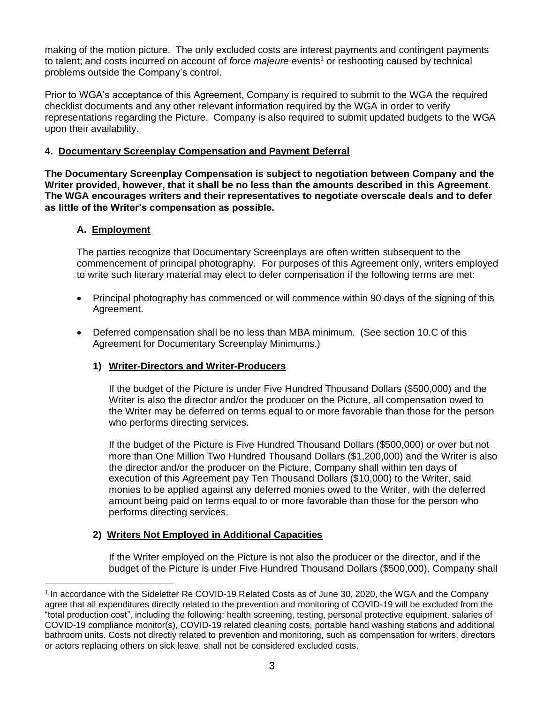making of the motion picture. The only excluded costs are interest payments and contingent payments to talent; and costs incurred on account of *force majeure* events<sup>1</sup> or reshooting caused by technical problems outside the Company's control.

Prior to WGA's acceptance of this Agreement, Company is required to submit to the WGA the required checklist documents and any other relevant information required by the WGA in order to verify representations regarding the Picture. Company is also required to submit updated budgets to the WGA upon their availability.

## **4. Documentary Screenplay Compensation and Payment Deferral**

**The Documentary Screenplay Compensation is subject to negotiation between Company and the Writer provided, however, that it shall be no less than the amounts described in this Agreement. The WGA encourages writers and their representatives to negotiate overscale deals and to defer as little of the Writer's compensation as possible.**

### **A. Employment**

The parties recognize that Documentary Screenplays are often written subsequent to the commencement of principal photography. For purposes of this Agreement only, writers employed to write such literary material may elect to defer compensation if the following terms are met:

- Principal photography has commenced or will commence within 90 days of the signing of this Agreement.
- Deferred compensation shall be no less than MBA minimum. (See section 10.C of this Agreement for Documentary Screenplay Minimums.)

## **1) Writer-Directors and Writer-Producers**

If the budget of the Picture is under Five Hundred Thousand Dollars (\$500,000) and the Writer is also the director and/or the producer on the Picture, all compensation owed to the Writer may be deferred on terms equal to or more favorable than those for the person who performs directing services.

If the budget of the Picture is Five Hundred Thousand Dollars (\$500,000) or over but not more than One Million Two Hundred Thousand Dollars (\$1,200,000) and the Writer is also the director and/or the producer on the Picture, Company shall within ten days of execution of this Agreement pay Ten Thousand Dollars (\$10,000) to the Writer, said monies to be applied against any deferred monies owed to the Writer, with the deferred amount being paid on terms equal to or more favorable than those for the person who performs directing services.

## **2) Writers Not Employed in Additional Capacities**

If the Writer employed on the Picture is not also the producer or the director, and if the budget of the Picture is under Five Hundred Thousand Dollars (\$500,000), Company shall

<sup>&</sup>lt;sup>1</sup> In accordance with the Sideletter Re COVID-19 Related Costs as of June 30, 2020, the WGA and the Company agree that all expenditures directly related to the prevention and monitoring of COVID-19 will be excluded from the "total production cost", including the following: health screening, testing, personal protective equipment, salaries of COVID-19 compliance monitor(s), COVID-19 related cleaning costs, portable hand washing stations and additional bathroom units. Costs not directly related to prevention and monitoring, such as compensation for writers, directors or actors replacing others on sick leave, shall not be considered excluded costs.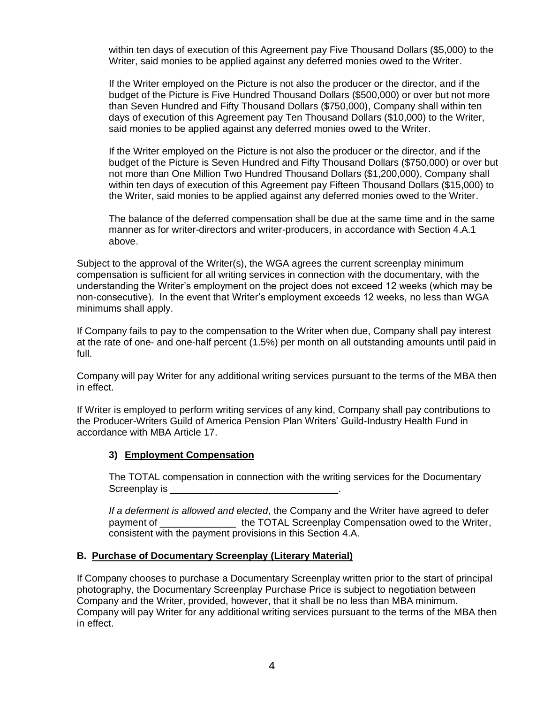within ten days of execution of this Agreement pay Five Thousand Dollars (\$5,000) to the Writer, said monies to be applied against any deferred monies owed to the Writer.

If the Writer employed on the Picture is not also the producer or the director, and if the budget of the Picture is Five Hundred Thousand Dollars (\$500,000) or over but not more than Seven Hundred and Fifty Thousand Dollars (\$750,000), Company shall within ten days of execution of this Agreement pay Ten Thousand Dollars (\$10,000) to the Writer, said monies to be applied against any deferred monies owed to the Writer.

If the Writer employed on the Picture is not also the producer or the director, and if the budget of the Picture is Seven Hundred and Fifty Thousand Dollars (\$750,000) or over but not more than One Million Two Hundred Thousand Dollars (\$1,200,000), Company shall within ten days of execution of this Agreement pay Fifteen Thousand Dollars (\$15,000) to the Writer, said monies to be applied against any deferred monies owed to the Writer.

The balance of the deferred compensation shall be due at the same time and in the same manner as for writer-directors and writer-producers, in accordance with Section 4.A.1 above.

Subject to the approval of the Writer(s), the WGA agrees the current screenplay minimum compensation is sufficient for all writing services in connection with the documentary, with the understanding the Writer's employment on the project does not exceed 12 weeks (which may be non-consecutive). In the event that Writer's employment exceeds 12 weeks, no less than WGA minimums shall apply.

If Company fails to pay to the compensation to the Writer when due, Company shall pay interest at the rate of one- and one-half percent (1.5%) per month on all outstanding amounts until paid in full.

Company will pay Writer for any additional writing services pursuant to the terms of the MBA then in effect.

If Writer is employed to perform writing services of any kind, Company shall pay contributions to the Producer-Writers Guild of America Pension Plan Writers' Guild-Industry Health Fund in accordance with MBA Article 17.

# **3) Employment Compensation**

The TOTAL compensation in connection with the writing services for the Documentary Screenplay is

*If a deferment is allowed and elected*, the Company and the Writer have agreed to defer payment of \_\_\_\_\_\_\_\_\_\_\_\_\_\_ the TOTAL Screenplay Compensation owed to the Writer, consistent with the payment provisions in this Section 4.A.

## **B. Purchase of Documentary Screenplay (Literary Material)**

If Company chooses to purchase a Documentary Screenplay written prior to the start of principal photography, the Documentary Screenplay Purchase Price is subject to negotiation between Company and the Writer, provided, however, that it shall be no less than MBA minimum. Company will pay Writer for any additional writing services pursuant to the terms of the MBA then in effect.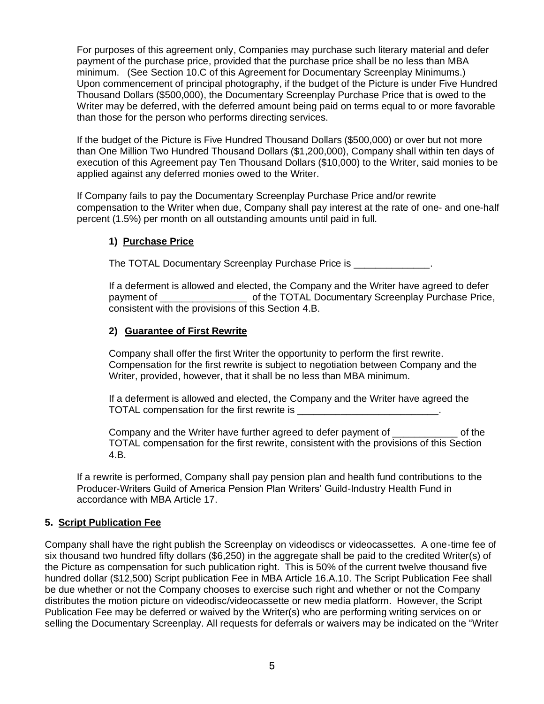For purposes of this agreement only, Companies may purchase such literary material and defer payment of the purchase price, provided that the purchase price shall be no less than MBA minimum. (See Section 10.C of this Agreement for Documentary Screenplay Minimums.) Upon commencement of principal photography, if the budget of the Picture is under Five Hundred Thousand Dollars (\$500,000), the Documentary Screenplay Purchase Price that is owed to the Writer may be deferred, with the deferred amount being paid on terms equal to or more favorable than those for the person who performs directing services.

If the budget of the Picture is Five Hundred Thousand Dollars (\$500,000) or over but not more than One Million Two Hundred Thousand Dollars (\$1,200,000), Company shall within ten days of execution of this Agreement pay Ten Thousand Dollars (\$10,000) to the Writer, said monies to be applied against any deferred monies owed to the Writer.

If Company fails to pay the Documentary Screenplay Purchase Price and/or rewrite compensation to the Writer when due, Company shall pay interest at the rate of one- and one-half percent (1.5%) per month on all outstanding amounts until paid in full.

# **1) Purchase Price**

The TOTAL Documentary Screenplay Purchase Price is  $\blacksquare$ 

If a deferment is allowed and elected, the Company and the Writer have agreed to defer payment of **EXAL EXAL DOCUMENT ASSESS** payment of the TOTAL Documentary Screenplay Purchase Price, consistent with the provisions of this Section 4.B.

# **2) Guarantee of First Rewrite**

Company shall offer the first Writer the opportunity to perform the first rewrite. Compensation for the first rewrite is subject to negotiation between Company and the Writer, provided, however, that it shall be no less than MBA minimum.

If a deferment is allowed and elected, the Company and the Writer have agreed the TOTAL compensation for the first rewrite is

Company and the Writer have further agreed to defer payment of \_\_\_\_\_\_\_\_\_\_\_\_ of the TOTAL compensation for the first rewrite, consistent with the provisions of this Section 4.B.

If a rewrite is performed, Company shall pay pension plan and health fund contributions to the Producer-Writers Guild of America Pension Plan Writers' Guild-Industry Health Fund in accordance with MBA Article 17.

## **5. Script Publication Fee**

Company shall have the right publish the Screenplay on videodiscs or videocassettes. A one-time fee of six thousand two hundred fifty dollars (\$6,250) in the aggregate shall be paid to the credited Writer(s) of the Picture as compensation for such publication right. This is 50% of the current twelve thousand five hundred dollar (\$12,500) Script publication Fee in MBA Article 16.A.10. The Script Publication Fee shall be due whether or not the Company chooses to exercise such right and whether or not the Company distributes the motion picture on videodisc/videocassette or new media platform. However, the Script Publication Fee may be deferred or waived by the Writer(s) who are performing writing services on or selling the Documentary Screenplay. All requests for deferrals or waivers may be indicated on the "Writer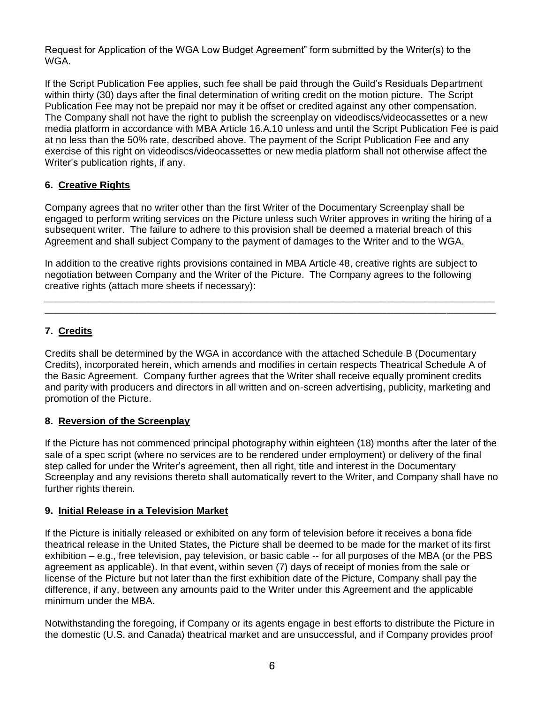Request for Application of the WGA Low Budget Agreement" form submitted by the Writer(s) to the WGA.

If the Script Publication Fee applies, such fee shall be paid through the Guild's Residuals Department within thirty (30) days after the final determination of writing credit on the motion picture. The Script Publication Fee may not be prepaid nor may it be offset or credited against any other compensation. The Company shall not have the right to publish the screenplay on videodiscs/videocassettes or a new media platform in accordance with MBA Article 16.A.10 unless and until the Script Publication Fee is paid at no less than the 50% rate, described above. The payment of the Script Publication Fee and any exercise of this right on videodiscs/videocassettes or new media platform shall not otherwise affect the Writer's publication rights, if any.

# **6. Creative Rights**

Company agrees that no writer other than the first Writer of the Documentary Screenplay shall be engaged to perform writing services on the Picture unless such Writer approves in writing the hiring of a subsequent writer. The failure to adhere to this provision shall be deemed a material breach of this Agreement and shall subject Company to the payment of damages to the Writer and to the WGA.

In addition to the creative rights provisions contained in MBA Article 48, creative rights are subject to negotiation between Company and the Writer of the Picture. The Company agrees to the following creative rights (attach more sheets if necessary):

\_\_\_\_\_\_\_\_\_\_\_\_\_\_\_\_\_\_\_\_\_\_\_\_\_\_\_\_\_\_\_\_\_\_\_\_\_\_\_\_\_\_\_\_\_\_\_\_\_\_\_\_\_\_\_\_\_\_\_\_\_\_\_\_\_\_\_\_\_\_\_\_\_\_\_\_\_\_\_\_\_\_\_ \_\_\_\_\_\_\_\_\_\_\_\_\_\_\_\_\_\_\_\_\_\_\_\_\_\_\_\_\_\_\_\_\_\_\_\_\_\_\_\_\_\_\_\_\_\_\_\_\_\_\_\_\_\_\_\_\_\_\_\_\_\_\_\_\_\_\_\_\_\_\_\_\_\_\_\_\_\_\_\_\_\_\_

# **7. Credits**

Credits shall be determined by the WGA in accordance with the attached Schedule B (Documentary Credits), incorporated herein, which amends and modifies in certain respects Theatrical Schedule A of the Basic Agreement. Company further agrees that the Writer shall receive equally prominent credits and parity with producers and directors in all written and on-screen advertising, publicity, marketing and promotion of the Picture.

# **8. Reversion of the Screenplay**

If the Picture has not commenced principal photography within eighteen (18) months after the later of the sale of a spec script (where no services are to be rendered under employment) or delivery of the final step called for under the Writer's agreement, then all right, title and interest in the Documentary Screenplay and any revisions thereto shall automatically revert to the Writer, and Company shall have no further rights therein.

## **9. Initial Release in a Television Market**

If the Picture is initially released or exhibited on any form of television before it receives a bona fide theatrical release in the United States, the Picture shall be deemed to be made for the market of its first exhibition – e.g., free television, pay television, or basic cable -- for all purposes of the MBA (or the PBS agreement as applicable). In that event, within seven (7) days of receipt of monies from the sale or license of the Picture but not later than the first exhibition date of the Picture, Company shall pay the difference, if any, between any amounts paid to the Writer under this Agreement and the applicable minimum under the MBA.

Notwithstanding the foregoing, if Company or its agents engage in best efforts to distribute the Picture in the domestic (U.S. and Canada) theatrical market and are unsuccessful, and if Company provides proof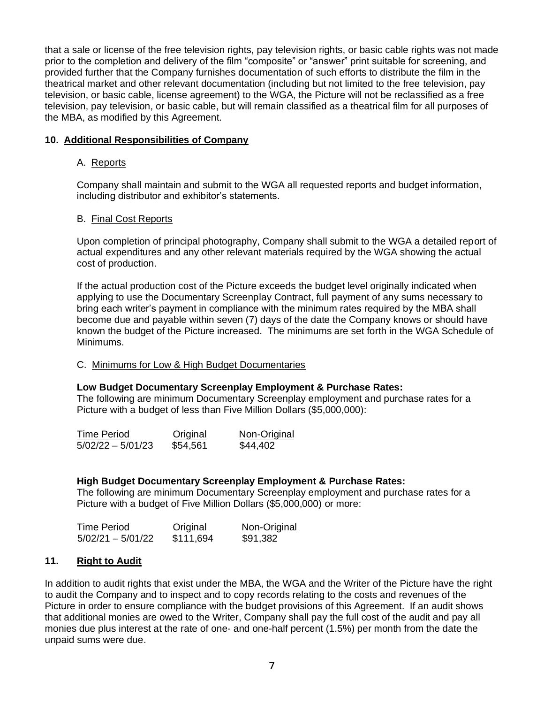that a sale or license of the free television rights, pay television rights, or basic cable rights was not made prior to the completion and delivery of the film "composite" or "answer" print suitable for screening, and provided further that the Company furnishes documentation of such efforts to distribute the film in the theatrical market and other relevant documentation (including but not limited to the free television, pay television, or basic cable, license agreement) to the WGA, the Picture will not be reclassified as a free television, pay television, or basic cable, but will remain classified as a theatrical film for all purposes of the MBA, as modified by this Agreement.

## **10. Additional Responsibilities of Company**

### A. Reports

Company shall maintain and submit to the WGA all requested reports and budget information, including distributor and exhibitor's statements.

### B. Final Cost Reports

Upon completion of principal photography, Company shall submit to the WGA a detailed report of actual expenditures and any other relevant materials required by the WGA showing the actual cost of production.

If the actual production cost of the Picture exceeds the budget level originally indicated when applying to use the Documentary Screenplay Contract, full payment of any sums necessary to bring each writer's payment in compliance with the minimum rates required by the MBA shall become due and payable within seven (7) days of the date the Company knows or should have known the budget of the Picture increased. The minimums are set forth in the WGA Schedule of Minimums.

### C. Minimums for Low & High Budget Documentaries

### **Low Budget Documentary Screenplay Employment & Purchase Rates:**

The following are minimum Documentary Screenplay employment and purchase rates for a Picture with a budget of less than Five Million Dollars (\$5,000,000):

| <b>Time Period</b>  | Original | Non-Original |
|---------------------|----------|--------------|
| $5/02/22 - 5/01/23$ | \$54,561 | \$44,402     |

### **High Budget Documentary Screenplay Employment & Purchase Rates:**

The following are minimum Documentary Screenplay employment and purchase rates for a Picture with a budget of Five Million Dollars (\$5,000,000) or more:

| <b>Time Period</b>  | Original  | Non-Original |
|---------------------|-----------|--------------|
| $5/02/21 - 5/01/22$ | \$111,694 | \$91,382     |

### **11. Right to Audit**

In addition to audit rights that exist under the MBA, the WGA and the Writer of the Picture have the right to audit the Company and to inspect and to copy records relating to the costs and revenues of the Picture in order to ensure compliance with the budget provisions of this Agreement. If an audit shows that additional monies are owed to the Writer, Company shall pay the full cost of the audit and pay all monies due plus interest at the rate of one- and one-half percent (1.5%) per month from the date the unpaid sums were due.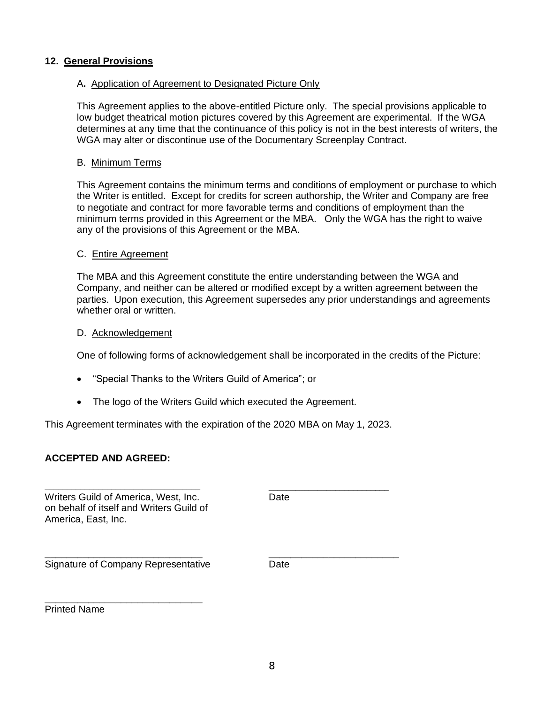# **12. General Provisions**

## A**.** Application of Agreement to Designated Picture Only

This Agreement applies to the above-entitled Picture only. The special provisions applicable to low budget theatrical motion pictures covered by this Agreement are experimental. If the WGA determines at any time that the continuance of this policy is not in the best interests of writers, the WGA may alter or discontinue use of the Documentary Screenplay Contract.

### B. Minimum Terms

This Agreement contains the minimum terms and conditions of employment or purchase to which the Writer is entitled. Except for credits for screen authorship, the Writer and Company are free to negotiate and contract for more favorable terms and conditions of employment than the minimum terms provided in this Agreement or the MBA. Only the WGA has the right to waive any of the provisions of this Agreement or the MBA.

### C. Entire Agreement

The MBA and this Agreement constitute the entire understanding between the WGA and Company, and neither can be altered or modified except by a written agreement between the parties. Upon execution, this Agreement supersedes any prior understandings and agreements whether oral or written.

### D. Acknowledgement

One of following forms of acknowledgement shall be incorporated in the credits of the Picture:

- "Special Thanks to the Writers Guild of America"; or
- The logo of the Writers Guild which executed the Agreement.

This Agreement terminates with the expiration of the 2020 MBA on May 1, 2023.

**\_\_\_\_\_\_\_\_\_\_\_\_\_\_\_\_\_\_\_\_\_\_\_\_\_\_\_\_\_\_\_\_\_\_\_** \_\_\_\_\_\_\_\_\_\_\_\_\_\_\_\_\_\_\_\_\_\_\_\_\_\_\_

## **ACCEPTED AND AGREED:**

Writers Guild of America, West, Inc. The Contract Date on behalf of itself and Writers Guild of America, East, Inc.

\_\_\_\_\_\_\_\_\_\_\_\_\_\_\_\_\_\_\_\_\_\_\_\_\_\_\_\_\_ \_\_\_\_\_\_\_\_\_\_\_\_\_\_\_\_\_\_\_\_\_\_\_\_ Signature of Company Representative Date

\_\_\_\_\_\_\_\_\_\_\_\_\_\_\_\_\_\_\_\_\_\_\_\_\_\_\_\_\_

Printed Name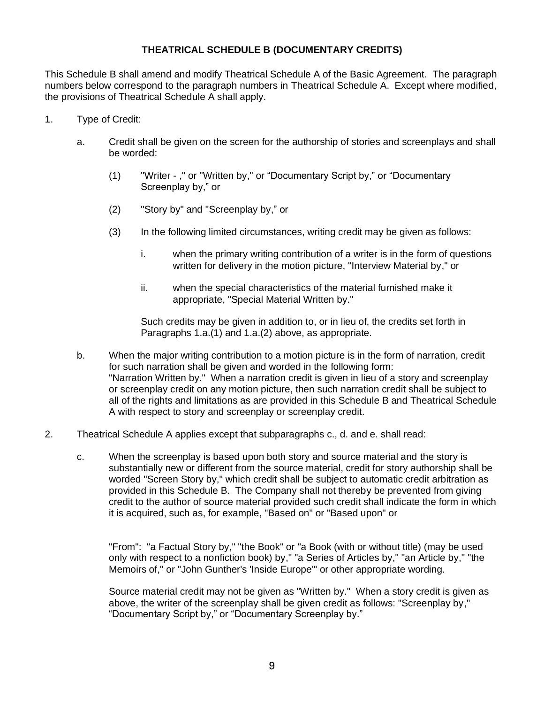# **THEATRICAL SCHEDULE B (DOCUMENTARY CREDITS)**

This Schedule B shall amend and modify Theatrical Schedule A of the Basic Agreement. The paragraph numbers below correspond to the paragraph numbers in Theatrical Schedule A. Except where modified, the provisions of Theatrical Schedule A shall apply.

- 1. Type of Credit:
	- a. Credit shall be given on the screen for the authorship of stories and screenplays and shall be worded:
		- (1) "Writer ," or "Written by," or "Documentary Script by," or "Documentary Screenplay by," or
		- (2) "Story by" and "Screenplay by," or
		- (3) In the following limited circumstances, writing credit may be given as follows:
			- i. when the primary writing contribution of a writer is in the form of questions written for delivery in the motion picture, "Interview Material by," or
			- ii. when the special characteristics of the material furnished make it appropriate, "Special Material Written by."

Such credits may be given in addition to, or in lieu of, the credits set forth in Paragraphs 1.a.(1) and 1.a.(2) above, as appropriate.

- b. When the major writing contribution to a motion picture is in the form of narration, credit for such narration shall be given and worded in the following form: "Narration Written by." When a narration credit is given in lieu of a story and screenplay or screenplay credit on any motion picture, then such narration credit shall be subject to all of the rights and limitations as are provided in this Schedule B and Theatrical Schedule A with respect to story and screenplay or screenplay credit.
- 2. Theatrical Schedule A applies except that subparagraphs c., d. and e. shall read:
	- c. When the screenplay is based upon both story and source material and the story is substantially new or different from the source material, credit for story authorship shall be worded "Screen Story by," which credit shall be subject to automatic credit arbitration as provided in this Schedule B. The Company shall not thereby be prevented from giving credit to the author of source material provided such credit shall indicate the form in which it is acquired, such as, for example, "Based on" or "Based upon" or

"From": "a Factual Story by," "the Book" or "a Book (with or without title) (may be used only with respect to a nonfiction book) by," "a Series of Articles by," "an Article by," "the Memoirs of," or "John Gunther's 'Inside Europe'" or other appropriate wording.

Source material credit may not be given as "Written by." When a story credit is given as above, the writer of the screenplay shall be given credit as follows: "Screenplay by," "Documentary Script by," or "Documentary Screenplay by."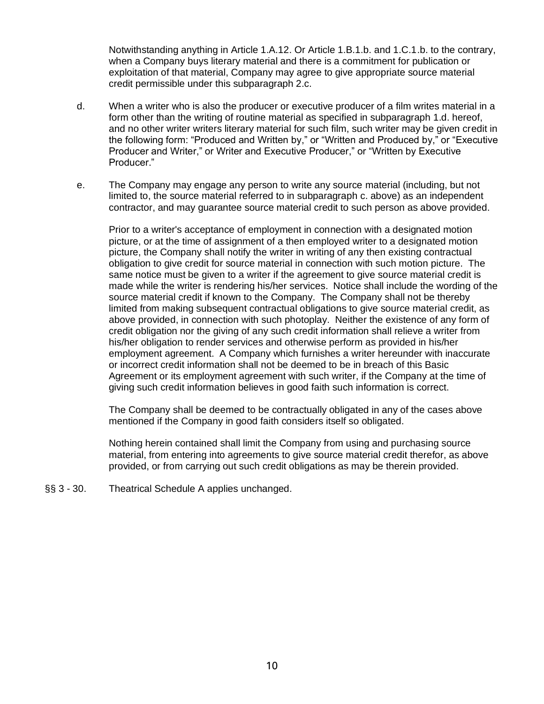Notwithstanding anything in Article 1.A.12. Or Article 1.B.1.b. and 1.C.1.b. to the contrary, when a Company buys literary material and there is a commitment for publication or exploitation of that material, Company may agree to give appropriate source material credit permissible under this subparagraph 2.c.

- d. When a writer who is also the producer or executive producer of a film writes material in a form other than the writing of routine material as specified in subparagraph 1.d. hereof, and no other writer writers literary material for such film, such writer may be given credit in the following form: "Produced and Written by," or "Written and Produced by," or "Executive Producer and Writer," or Writer and Executive Producer," or "Written by Executive Producer."
- e. The Company may engage any person to write any source material (including, but not limited to, the source material referred to in subparagraph c. above) as an independent contractor, and may guarantee source material credit to such person as above provided.

Prior to a writer's acceptance of employment in connection with a designated motion picture, or at the time of assignment of a then employed writer to a designated motion picture, the Company shall notify the writer in writing of any then existing contractual obligation to give credit for source material in connection with such motion picture. The same notice must be given to a writer if the agreement to give source material credit is made while the writer is rendering his/her services. Notice shall include the wording of the source material credit if known to the Company. The Company shall not be thereby limited from making subsequent contractual obligations to give source material credit, as above provided, in connection with such photoplay. Neither the existence of any form of credit obligation nor the giving of any such credit information shall relieve a writer from his/her obligation to render services and otherwise perform as provided in his/her employment agreement. A Company which furnishes a writer hereunder with inaccurate or incorrect credit information shall not be deemed to be in breach of this Basic Agreement or its employment agreement with such writer, if the Company at the time of giving such credit information believes in good faith such information is correct.

The Company shall be deemed to be contractually obligated in any of the cases above mentioned if the Company in good faith considers itself so obligated.

Nothing herein contained shall limit the Company from using and purchasing source material, from entering into agreements to give source material credit therefor, as above provided, or from carrying out such credit obligations as may be therein provided.

§§ 3 - 30. Theatrical Schedule A applies unchanged.